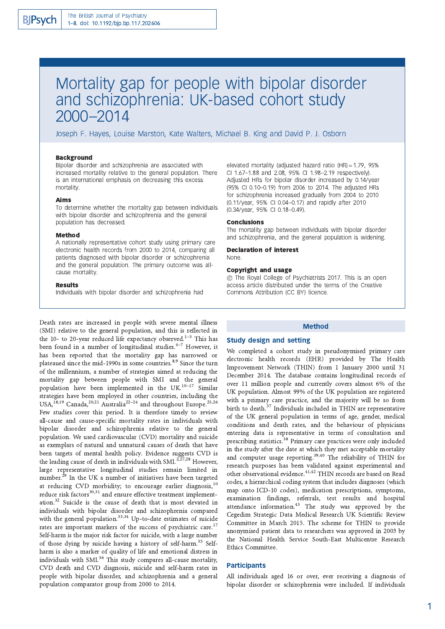# Mortality gap for people with bipolar disorder and schizophrenia: UK-based cohort study 2000-2014

Joseph F. Hayes, Louise Marston, Kate Walters, Michael B. King and David P. J. Osborn

## **Background**

Bipolar disorder and schizophrenia are associated with increased mortality relative to the general population. There is an international emphasis on decreasing this excess mortality.

#### **Aims**

To determine whether the mortality gap between individuals with bipolar disorder and schizophrenia and the general population has decreased.

#### Method

A nationally representative cohort study using primary care electronic health records from 2000 to 2014, comparing all patients diagnosed with bipolar disorder or schizophrenia and the general population. The primary outcome was allcause mortality.

## **Results**

Individuals with bipolar disorder and schizophrenia had

Death rates are increased in people with severe mental illness (SMI) relative to the general population, and this is reflected in the 10- to 20-year reduced life expectancy observed.<sup>1-3</sup> This has been found in a number of longitudinal studies.<sup>4-7</sup> However, it has been reported that the mortality gap has narrowed or plateaued since the mid-1990s in some countries.<sup>8,9</sup> Since the turn of the millennium, a number of strategies aimed at reducing the mortality gap between people with SMI and the general population have been implemented in the UK.<sup>10-17</sup> Similar strategies have been employed in other countries, including the USA,<sup>18,19</sup> Canada,<sup>20,21</sup> Australia<sup>22-24</sup> and throughout Europe.<sup>25,26</sup> Few studies cover this period. It is therefore timely to review all-cause and cause-specific mortality rates in individuals with bipolar disorder and schizophrenia relative to the general population. We used cardiovascular (CVD) mortality and suicide as exemplars of natural and unnatural causes of death that have been targets of mental health policy. Evidence suggests CVD is the leading cause of death in individuals with SMI.<sup>2,27,28</sup> However, large representative longitudinal studies remain limited in number.<sup>29</sup> In the UK a number of initiatives have been targeted at reducing CVD morbidity; to encourage earlier diagnosis,<sup>10</sup> reduce risk factors<sup>30,31</sup> and ensure effective treatment implementation.<sup>32</sup> Suicide is the cause of death that is most elevated in individuals with bipolar disorder and schizophrenia compared with the general population.<sup>33,34</sup> Up-to-date estimates of suicide rates are important markers of the success of psychiatric care.<sup>17</sup> Self-harm is the major risk factor for suicide, with a large number of those dying by suicide having a history of self-harm.<sup>35</sup> Selfharm is also a marker of quality of life and emotional distress in individuals with SMI.<sup>36</sup> This study compares all-cause mortality, CVD death and CVD diagnosis, suicide and self-harm rates in people with bipolar disorder, and schizophrenia and a general population comparator group from 2000 to 2014.

elevated mortality (adjusted hazard ratio (HR) = 1.79, 95% CI 1.67-1.88 and 2.08, 95% CI 1.98-2.19 respectively). Adjusted HRs for bipolar disorder increased by 0.14/year (95% CI 0.10-0.19) from 2006 to 2014. The adjusted HRs for schizophrenia increased gradually from 2004 to 2010 (0.11/year, 95% CI 0.04-0.17) and rapidly after 2010 (0.34/year, 95% CI 0.18-0.49).

## **Conclusions**

The mortality gap between individuals with bipolar disorder and schizophrenia, and the general population is widening.

**Declaration of interest** None.

## **Copyright and usage**

© The Royal College of Psychiatrists 2017. This is an open access article distributed under the terms of the Creative Commons Attribution (CC BY) licence.

## **Method**

## **Study design and setting**

We completed a cohort study in pseudonymised primary care electronic health records (EHR) provided by The Health Improvement Network (THIN) from 1 January 2000 until 31 December 2014. The database contains longitudinal records of over 11 million people and currently covers almost 6% of the UK population. Almost 99% of the UK population are registered with a primary care practice, and the majority will be so from birth to death.<sup>37</sup> Individuals included in THIN are representative of the UK general population in terms of age, gender, medical conditions and death rates, and the behaviour of physicians entering data is representative in terms of consultation and prescribing statistics.<sup>38</sup> Primary care practices were only included in the study after the date at which they met acceptable mortality<br>and computer usage reporting.<sup>39,40</sup> The reliability of THIN for research purposes has been validated against experimental and other observational evidence.<sup>41,42</sup> THIN records are based on Read codes, a hierarchical coding system that includes diagnoses (which map onto ICD-10 codes), medication prescriptions, symptoms, examination findings, referrals, test results and hospital attendance information.<sup>43</sup> The study was approved by the Cegedim Strategic Data Medical Research UK Scientific Review Committee in March 2015. The scheme for THIN to provide anonymised patient data to researchers was approved in 2003 by the National Health Service South-East Multicentre Research Ethics Committee.

## **Participants**

All individuals aged 16 or over, ever receiving a diagnosis of bipolar disorder or schizophrenia were included. If individuals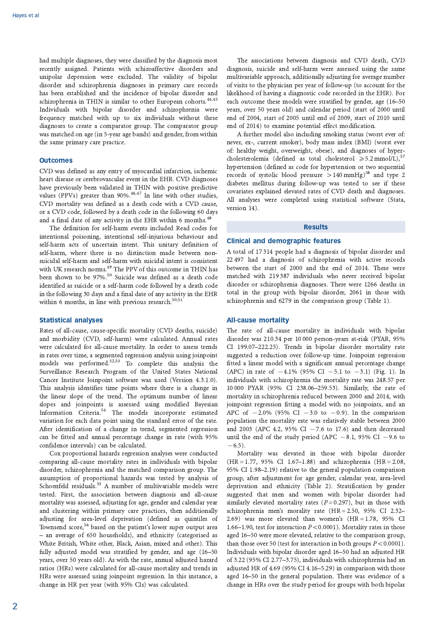had multiple diagnoses, they were classified by the diagnosis most recently assigned. Patients with schizoaffective disorders and unipolar depression were excluded. The validity of bipolar disorder and schizophrenia diagnoses in primary care records has been established and the incidence of bipolar disorder and schizophrenia in THIN is similar to other European cohorts.<sup>44,45</sup> Individuals with bipolar disorder and schizophrenia were frequency matched with up to six individuals without these diagnoses to create a comparator group. The comparator group was matched on age (in 5-year age bands) and gender, from within the same primary care practice.

## **Outcomes**

CVD was defined as any entry of myocardial infarction, ischemic heart disease or cerebrovascular event in the EHR. CVD diagnoses have previously been validated in THIN with positive predictive values (PPVs) greater than 90%.<sup>46,47</sup> In line with other studies, CVD mortality was defined as a death code with a CVD cause, or a CVD code, followed by a death code in the following 60 days and a final date of any activity in the EHR within 6 months.<sup>48</sup>

The definition for self-harm events included Read codes for intentional poisoning, intentional self-injurious behaviour and self-harm acts of uncertain intent. This unitary definition of self-harm, where there is no distinction made between nonsuicidal self-harm and self-harm with suicidal intent is consistent with UK research norms.<sup>49</sup> The PPV of this outcome in THIN has been shown to be 97%.<sup>50</sup> Suicide was defined as a death code identified as suicide or a self-harm code followed by a death code in the following 30 days and a final date of any activity in the EHR within 6 months, in line with previous research.<sup>50,51</sup>

## **Statistical analyses**

Rates of all-cause, cause-specific mortality (CVD deaths, suicide) and morbidity (CVD, self-harm) were calculated. Annual rates were calculated for all-cause mortality. In order to assess trends in rates over time, a segmented regression analysis using joinpoint models was performed.<sup>52,53</sup> To complete this analysis the Surveillance Research Program of the United States National Cancer Institute Joinpoint software was used (Version 4.3.1.0). This analysis identifies time points where there is a change in the linear slope of the trend. The optimum number of linear slopes and joinpoints is assessed using modified Bayesian Information Criteria.<sup>54</sup> The models incorporate estimated variation for each data point using the standard error of the rate. After identification of a change in trend, segmented regression can be fitted and annual percentage change in rate (with 95% confidence intervals) can be calculated.

Cox proportional hazards regression analyses were conducted comparing all-cause mortality rates in individuals with bipolar disorder, schizophrenia and the matched comparison group. The assumption of proportional hazards was tested by analysis of Schoenfeld residuals.<sup>55</sup> A number of multivariable models were tested. First, the association between diagnosis and all-cause mortality was assessed, adjusting for age, gender and calendar year and clustering within primary care practices, then additionally adjusting for area-level deprivation (defined as quintiles of Townsend score,<sup>56</sup> based on the patient's lower super output area - an average of 650 households), and ethnicity (categorised as White British, White other, Black, Asian, mixed and other). This fully adjusted model was stratified by gender, and age (16-50 years, over 50 years old). As with the rate, annual adjusted hazard ratios (HRs) were calculated for all-cause mortality and trends in HRs were assessed using joinpoint regression. In this instance, a change in HR per year (with 95% CIs) was calculated.

The associations between diagnosis and CVD death, CVD diagnosis, suicide and self-harm were assessed using the same multivariable approach, additionally adjusting for average number of visits to the physician per year of follow-up (to account for the likelihood of having a diagnostic code recorded in the EHR). For each outcome these models were stratified by gender, age (16-50) years, over 50 years old) and calendar period (start of 2000 until end of 2004, start of 2005 until end of 2009, start of 2010 until end of 2014) to examine potential effect modification.

A further model also including smoking status (worst ever of: never, ex-, current smoker), body mass index (BMI) (worst ever of: healthy weight, overweight, obese), and diagnoses of hypercholesterolemia (defined as total cholesterol  $\ge 5.2$  mmol/L),<sup>57</sup> hypertension (defined as code for hypertension or two sequential records of systolic blood pressure  $>140$  mmHg)<sup>58</sup> and type 2 diabetes mellitus during follow-up was tested to see if these covariates explained elevated rates of CVD death and diagnoses. All analyses were completed using statistical software (Stata, version 14).

## **Results**

## **Clinical and demographic features**

A total of 17314 people had a diagnosis of bipolar disorder and 22 497 had a diagnosis of schizophrenia with active records between the start of 2000 and the end of 2014. These were matched with 219387 individuals who never received bipolar disorder or schizophrenia diagnoses. There were 1266 deaths in total in the group with bipolar disorder, 2061 in those with schizophrenia and 6279 in the comparison group (Table 1).

#### **All-cause mortality**

The rate of all-cause mortality in individuals with bipolar disorder was 210.34 per 10 000 person-years at-risk (PYAR, 95% CI 199.07-222.25). Trends in bipolar disorder mortality rate suggested a reduction over follow-up time. Joinpoint regression fitted a linear model with a significant annual percentage change (APC) in rate of  $-4.1\%$  (95% CI  $-5.1$  to  $-3.1$ ) (Fig. 1). In individuals with schizophrenia the mortality rate was 248.57 per 10000 PYAR (95% CI 238.06-259.53). Similarly, the rate of mortality in schizophrenia reduced between 2000 and 2014, with joinpoint regression fitting a model with no joinpoints, and an APC of  $-2.0\%$  (95% CI  $-3.0$  to  $-0.9$ ). In the comparison population the mortality rate was relatively stable between 2000 and 2003 (APC 4.2, 95% CI  $-7.6$  to 17.6) and then decreased until the end of the study period (APC  $-8.1$ , 95% CI  $-9.6$  to  $-6.5$ ).

Mortality was elevated in those with bipolar disorder  $(HR = 1.77, 95\% \text{ CI } 1.67-1.88)$  and schizophrenia  $(HR = 2.08,$ 95% CI 1.98-2.19) relative to the general population comparison group, after adjustment for age gender, calendar year, area-level deprivation and ethnicity (Table 2). Stratification by gender suggested that men and women with bipolar disorder had similarly elevated mortality rates ( $P = 0.297$ ), but in those with schizophrenia men's morality rate (HR = 2.50, 95% CI 2.32-2.69) was more elevated than women's  $(HR = 1.78, 95\%$  CI 1.66–1.90, test for interaction  $P < 0.0001$ ). Mortality rates in those aged 16-50 were more elevated, relative to the comparison group, than those over 50 (test for interaction in both groups  $P < 0.0001$ ). Individuals with bipolar disorder aged 16-50 had an adjusted HR of 3.22 (95% CI 2.77-3.75), individuals with schizophrenia had an adjusted HR of 4.69 (95% CI 4.16–5.29) in comparison with those aged 16-50 in the general population. There was evidence of a change in HRs over the study period for groups with both bipolar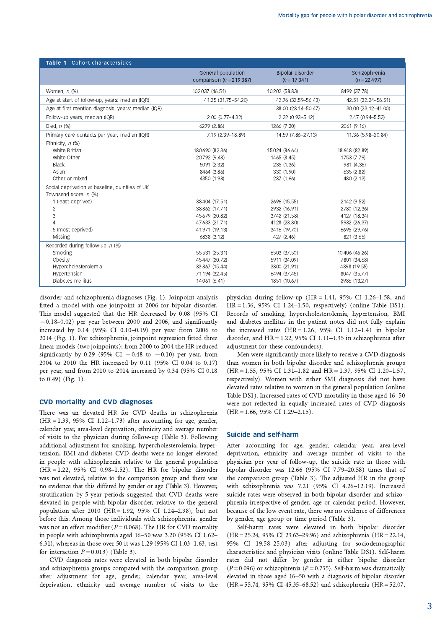| Table 1 Cohort charactersitics                                                                                                                                                                                                 |                                                                                                                                                                       |                                                                                                                                                        |                                                                                                                                                        |
|--------------------------------------------------------------------------------------------------------------------------------------------------------------------------------------------------------------------------------|-----------------------------------------------------------------------------------------------------------------------------------------------------------------------|--------------------------------------------------------------------------------------------------------------------------------------------------------|--------------------------------------------------------------------------------------------------------------------------------------------------------|
|                                                                                                                                                                                                                                | General population<br>comparison ( $n = 219387$ )                                                                                                                     | Bipolar disorder<br>$(n = 17341)$                                                                                                                      | Schizophrenia<br>$(n = 22497)$                                                                                                                         |
| Women, $n$ (%)                                                                                                                                                                                                                 | 102 037 (46.51)                                                                                                                                                       | 10 202 (58.83)                                                                                                                                         | 8499 (37.78)                                                                                                                                           |
| Age at start of follow-up, years: median (IQR)                                                                                                                                                                                 | 41.35 (31.75-54.20)                                                                                                                                                   | 42.76 (32.59-56.43)                                                                                                                                    | 42.51 (32.34-56.51)                                                                                                                                    |
| Age at first mention diagnosis, years: median (IQR)                                                                                                                                                                            |                                                                                                                                                                       | 38.00 (28.14-50.47)                                                                                                                                    | 30.00 (23.12-41.00)                                                                                                                                    |
| Follow-up years, median (IQR)                                                                                                                                                                                                  | 2.00 (0.77-4.32)                                                                                                                                                      | 2.32 (0.93-5.12)                                                                                                                                       | $2.47(0.94 - 5.53)$                                                                                                                                    |
| Died, $n$ $%$                                                                                                                                                                                                                  | 6279 (2.86)                                                                                                                                                           | 1266 (7.30)                                                                                                                                            | 2061 (9.16)                                                                                                                                            |
| Primary care contacts per year, median (IQR)                                                                                                                                                                                   | 7.19 (2.39-18.89)                                                                                                                                                     | 14.59 (7.86-27.13)                                                                                                                                     | 11.36 (5.98-20.84)                                                                                                                                     |
| Ethnicity, $n$ (%)<br>White British<br>White Other<br><b>Black</b><br>Asian<br>Other or mixed<br>Social deprivation at baseline, quintiles of UK<br>Townsend score: n (%)<br>1 (least deprived)<br>2<br>3<br>5 (most deprived) | 180690 (82.36)<br>20792 (9.48)<br>5091 (2.32)<br>8464 (3.86)<br>4350 (1.98)<br>38 404 (17.51)<br>38 862 (17.71)<br>45 679 (20.82)<br>47 633 (21.71)<br>41 971 (19.13) | 15024 (86.64)<br>1465 (8.45)<br>235 (1.36)<br>330 (1.90)<br>287 (1.66)<br>2696 (15.55)<br>2932 (16.91)<br>3742 (21.58)<br>4128 (23.80)<br>3416 (19.70) | 18 648 (82.89)<br>1753 (7.79)<br>981 (4.36)<br>635 (2.82)<br>480 (2.13)<br>2142 (9.52)<br>2780 (12.36)<br>4127 (18.34)<br>5932 (26.37)<br>6695 (29.76) |
| Missing                                                                                                                                                                                                                        | 6838 (3.12)                                                                                                                                                           | 427 (2.46)                                                                                                                                             | 821 (3.65)                                                                                                                                             |
| Recorded during follow-up, n (%)<br>Smoking<br>Obesity<br>Hypercholesterolemia<br>Hypertension<br>Diabetes mellitus                                                                                                            | 55 531 (25.31)<br>45 447 (20.72)<br>33 867 (15.44)<br>71 194 (32.45)<br>14061 (6.41)                                                                                  | 6503 (37.50)<br>5911 (34.09)<br>3800 (21.91)<br>6494 (37.45)<br>1851 (10.67)                                                                           | 10 406 (46.26)<br>7801 (34.68)<br>4398 (19.55)<br>8047 (35.77)<br>2986 (13.27)                                                                         |

disorder and schizophrenia diagnoses (Fig. 1). Joinpoint analysis fitted a model with one joinpoint at 2006 for bipolar disorder. This model suggested that the HR decreased by 0.08 (95% CI  $-0.18-0.02$ ) per year between 2000 and 2006, and significantly increased by 0.14 (95% CI 0.10-0.19) per year from 2006 to 2014 (Fig. 1). For schizophrenia, joinpoint regression fitted three linear models (two joinpoints); from 2000 to 2004 the HR reduced significantly by 0.29 (95% CI  $-0.48$  to  $-0.10$ ) per year, from 2004 to 2010 the HR increased by 0.11 (95% CI 0.04 to 0.17) per year, and from 2010 to 2014 increased by 0.34 (95% CI 0.18 to 0.49) (Fig. 1).

## **CVD mortality and CVD diagnoses**

There was an elevated HR for CVD deaths in schizophrenia  $(HR = 1.39, 95\% \text{ CI } 1.12 - 1.73)$  after accounting for age, gender, calendar year, area-level deprivation, ethnicity and average number of visits to the physician during follow-up (Table 3). Following additional adjustment for smoking, hypercholesterolemia, hypertension, BMI and diabetes CVD deaths were no longer elevated in people with schizophrenia relative to the general population  $(HR = 1.22, 95\% \text{ CI } 0.98-1.52)$ . The HR for bipolar disorder was not elevated, relative to the comparison group and there was no evidence that this differed by gender or age (Table 3). However, stratification by 5-year periods suggested that CVD deaths were elevated in people with bipolar disorder, relative to the general population after 2010 (HR = 1.92, 95% CI 1.24-2.98), but not before this. Among those individuals with schizophrenia, gender was not an effect modifier ( $P = 0.068$ ). The HR for CVD mortality in people with schizophrenia aged 16-50 was 3.20 (95% CI 1.62-6.31), whereas in those over 50 it was 1.29 (95% CI 1.03-1.63, test for interaction  $P = 0.013$ ) (Table 3).

CVD diagnosis rates were elevated in both bipolar disorder and schizophrenia groups compared with the comparison group after adjustment for age, gender, calendar year, area-level deprivation, ethnicity and average number of visits to the physician during follow-up ( $HR = 1.41$ , 95% CI 1.26-1.58, and  $HR = 1.36$ , 95% CI 1.24-1.50, respectively) (online Table DS1). Records of smoking, hypercholesterolemia, hypertension, BMI and diabetes mellitus in the patient notes did not fully explain the increased rates  $(HR = 1.26, 95\% \text{ CI } 1.12-1.41 \text{ in bipolar})$ disorder, and  $HR = 1.22$ , 95% CI 1.11-1.35 in schizophrenia after adiustment for these confounders).

Men were significantly more likely to receive a CVD diagnosis than women in both bipolar disorder and schizophrenia groups (HR = 1.55, 95% CI 1.31-1.82 and HR = 1.37, 95% CI 1.20-1.57, respectively). Women with either SMI diagnosis did not have elevated rates relative to women in the general population (online Table DS1). Increased rates of CVD mortality in those aged 16-50 were not reflected in equally increased rates of CVD diagnosis  $(HR = 1.66, 95\% \text{ CI } 1.29-2.15).$ 

## **Suicide and self-harm**

After accounting for age, gender, calendar year, area-level deprivation, ethnicity and average number of visits to the physician per year of follow-up, the suicide rate in those with bipolar disorder was 12.66 (95% CI 7.79-20.58) times that of the comparison group (Table 3). The adjusted HR in the group with schizophrenia was 7.21 (95% CI 4.26-12.19). Increased suicide rates were observed in both bipolar disorder and schizophrenia irrespective of gender, age or calendar period. However, because of the low event rate, there was no evidence of differences by gender, age group or time period (Table 3).

Self-harm rates were elevated in both bipolar disorder (HR = 25.24, 95% CI 23.63-29.96) and schizophrenia (HR = 22.14, 95% CI 19.58-25.03) after adjusting for sociodemographic characteristics and physician visits (online Table DS1). Self-harm rates did not differ by gender in either bipolar disorder  $(P=0.096)$  or schizophrenia ( $P=0.735$ ). Self-harm was dramatically elevated in those aged 16-50 with a diagnosis of bipolar disorder (HR = 55.74, 95% CI 45.35–68.52) and schizophrenia (HR = 52.07,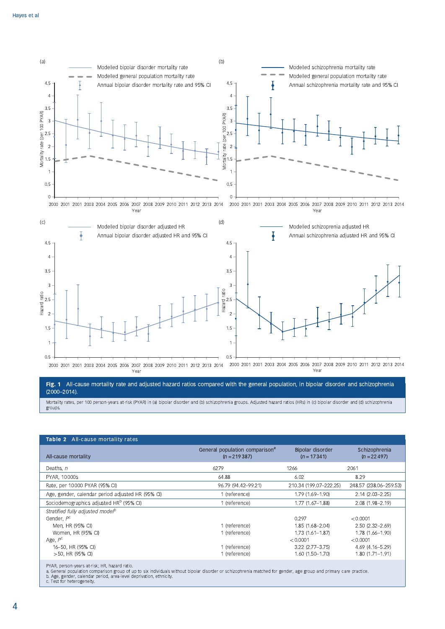

Fig. 1 All-cause mortality rate and adjusted hazard ratios compared with the general population, in bipolar disorder and schizophrenia  $(2000 - 2014).$ 

Mortality rates, per 100 person-years at-risk (PYAR) in (a) bipolar disorder and (b) schizophrenia groups. Adjusted hazard ratios (HRs) in (c) bipolar disorder and (d) schizophrenia groups

| Table 2 All-cause mortality rates                                                                 |                                                                  |                                                                                                  |                                                                                                |
|---------------------------------------------------------------------------------------------------|------------------------------------------------------------------|--------------------------------------------------------------------------------------------------|------------------------------------------------------------------------------------------------|
| All-cause mortality                                                                               | General population comparison <sup>a</sup><br>$(n = 219387)$     | Bipolar disorder<br>$(n = 17341)$                                                                | Schizophrenia<br>$(n = 22497)$                                                                 |
| Deaths, n                                                                                         | 6279                                                             | 1266                                                                                             | 2061                                                                                           |
| PYAR, 10000s                                                                                      | 64.88                                                            | 6.02                                                                                             | 8.29                                                                                           |
| Rate, per 10000 PYAR (95% CI)                                                                     | 96.79 (94.42-99.21)                                              | 210.34 (199.07-222.25)                                                                           | 248.57 (238.06-259.53)                                                                         |
| Age, gender, calendar period adjusted HR (95% CI)                                                 | 1 (reference)                                                    | 1.79 (1.69-1.90)                                                                                 | $2.14(2.03 - 2.25)$                                                                            |
| Sociodemographics adjusted HR <sup>b</sup> (95% CI)                                               | 1 (reference)                                                    | $1.77(1.67 - 1.88)$                                                                              | $2.08(1.98 - 2.19)$                                                                            |
| Stratified fully adjusted model <sup>b</sup><br>Gender, $P^C$                                     |                                                                  | 0.297                                                                                            | < 0.0001                                                                                       |
| Men, HR (95% CI)<br>Women, HR (95% CI)<br>Age, $P^c$<br>16-50, HR (95% CI)<br>$>$ 50, HR (95% CI) | 1 (reference)<br>1 (reference)<br>1 (reference)<br>1 (reference) | 1.85 (1.68-2.04)<br>$1.73(1.61 - 1.87)$<br>< 0.0001<br>$3.22$ (2.77-3.75)<br>$1.60(1.50 - 1.70)$ | $2.50(2.32 - 2.69)$<br>1.78 (1.66-1.90)<br>< 0.0001<br>4.69 (4.16-5.29)<br>$1.80(1.71 - 1.91)$ |
|                                                                                                   |                                                                  |                                                                                                  |                                                                                                |

PYAR, person-years at-risk; HR, hazard ratio.

a. General population comparison group of up to six individuals without bipolar disorder or schizophrenia matched for gender, age group and primary care practice.<br>b. Age, gender, calendar period, area-level deprivation, et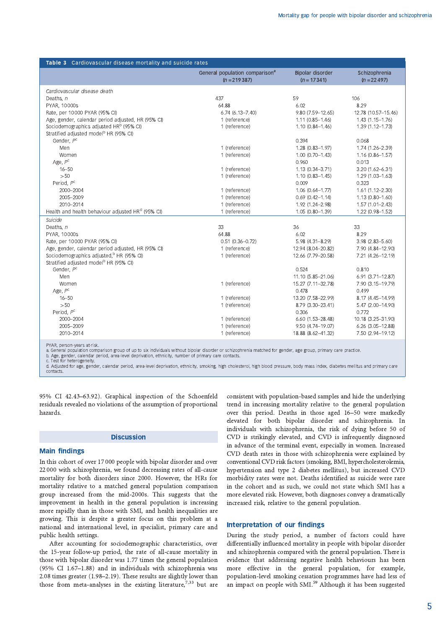| Table 3 Cardiovascular disease mortality and suicide rates    |                                                              |                                   |                                |  |
|---------------------------------------------------------------|--------------------------------------------------------------|-----------------------------------|--------------------------------|--|
|                                                               | General population comparison <sup>a</sup><br>$(n = 219387)$ | Bipolar disorder<br>$(n = 17341)$ | Schizophrenia<br>$(n = 22497)$ |  |
| Cardiovascular disease death                                  |                                                              |                                   |                                |  |
| Deaths, $n$                                                   | 437                                                          | 59                                | 106                            |  |
| PYAR, 10000s                                                  | 64.88                                                        | 6.02                              | 8.29                           |  |
| Rate, per 10 000 PYAR (95% CI)                                | $6.74(6.13 - 7.40)$                                          | 9.80 (7.59-12.65)                 | 12.78 (10.57-15.46)            |  |
| Age, gender, calendar period adjusted, HR (95% CI)            | 1 (reference)                                                | $1.11(0.85 - 1.46)$               | $1.43(1.15 - 1.76)$            |  |
| Sociodemographics adjusted HR <sup>b</sup> (95% CI)           | 1 (reference)                                                | $1.10(0.84 - 1.46)$               | 1.39 (1.12-1.73)               |  |
| Stratified adjusted model <sup>b</sup> HR (95% CI)            |                                                              |                                   |                                |  |
| Gender, P <sup>c</sup>                                        |                                                              | 0.394                             | 0.068                          |  |
| Men                                                           | 1 (reference)                                                | 1.28 (0.83-1.97)                  | 1.74 (1.26-2.39)               |  |
| Women                                                         | 1 (reference)                                                | $1.00(0.70 - 1.43)$               | $1.16(0.86 - 1.57)$            |  |
| Age, $P^C$                                                    |                                                              | 0.960                             | 0.013                          |  |
| $16 - 50$                                                     | 1 (reference)                                                | 1.13 (0.34-3.71)                  | $3.20(1.62 - 6.31)$            |  |
| >50                                                           | 1 (reference)                                                | $1.10(0.83 - 1.45)$               | $1.29(1.03 - 1.63)$            |  |
| Period, $P^{\rm c}$                                           |                                                              | 0.009                             | 0.323                          |  |
| 2000-2004                                                     | 1 (reference)                                                | 1.06 (0.64-1.77)                  | $1.61(1.12 - 2.30)$            |  |
| 2005-2009                                                     | 1 (reference)                                                | $0.69(0.42 - 1.14)$               | $1.13(0.80 - 1.60)$            |  |
| 2010-2014                                                     | 1 (reference)                                                | 1.92 (1.24-2.98)                  | $1.57(1.01 - 2.43)$            |  |
| Health and health behaviour adjusted HR <sup>d</sup> (95% CI) | 1 (reference)                                                | 1.05 (0.80-1.39)                  | 1.22 (0.98-1.52)               |  |
| Suicide                                                       |                                                              |                                   |                                |  |
| Deaths, $n$                                                   | 33                                                           | 36                                | 33                             |  |
| PYAR, 10000s                                                  | 64.88                                                        | 6.02                              | 8.29                           |  |
| Rate, per 10000 PYAR (95% CI)                                 | $0.51(0.36 - 0.72)$                                          | 5.98 (4.31-8.29)                  | $3.98(2.83 - 5.60)$            |  |
| Age, gender, calendar period adjusted, HR (95% CI)            | 1 (reference)                                                | 12.94 (8.04-20.82)                | 7.90 (4.84-12.90)              |  |
| Sociodemographics adjusted, <sup>b</sup> HR (95% CI)          | 1 (reference)                                                | 12.66 (7.79-20.58)                | 7.21 (4.26-12.19)              |  |
| Stratified adjusted model <sup>b</sup> HR (95% CI)            |                                                              |                                   |                                |  |
| Gender, P <sup>c</sup>                                        |                                                              | 0.524                             | 0.810                          |  |
| Men                                                           |                                                              | 11.10 (5.85-21.06)                | $6.91(3.71 - 12.87)$           |  |
| Women<br>Age, $P^C$                                           | 1 (reference)                                                | 15.27 (7.11-32.78)<br>0.478       | 7.90 (3.15-19.79)<br>0.499     |  |
| $16 - 50$                                                     | 1 (reference)                                                | 13.20 (7.58-22.99)                | 8.17 (4.45-14.99)              |  |
| >50                                                           | 1 (reference)                                                | 8.79 (3.30-23.41)                 | 5.47 (2.00-14.90)              |  |
| Period, P <sup>c</sup>                                        |                                                              | 0.306                             | 0.772                          |  |
| 2000-2004                                                     | 1 (reference)                                                | $6.60(1.53 - 28.48)$              | 10.18 (3.25-31.90)             |  |
| 2005-2009                                                     | 1 (reference)                                                | 9.50 (4.74-19.07)                 | $6.26$ (3.05-12.88)            |  |
| 2010-2014                                                     | 1 (reference)                                                | 18.88 (8.62-41.32)                | 7.50 (2.94-19.12)              |  |
|                                                               |                                                              |                                   |                                |  |

PYAR, person-years at-risk

b. Age, gender, calendar period, area-level deprivation, ethnicity, number of primary care contacts

Test for heterogeneity

d. Adjusted for age, gender, calendar period, area-level deprivation, ethnicity, smoking, high cholesterol, high blood pressure, body mass index, diabetes mellitus and primary care contacts

95% CI 42.43-63.92). Graphical inspection of the Schoenfeld residuals revealed no violations of the assumption of proportional hazards.

## **Discussion**

## **Main findings**

In this cohort of over 17 000 people with bipolar disorder and over 22 000 with schizophrenia, we found decreasing rates of all-cause mortality for both disorders since 2000. However, the HRs for mortality relative to a matched general population comparison group increased from the mid-2000s. This suggests that the improvement in health in the general population is increasing more rapidly than in those with SMI, and health inequalities are growing. This is despite a greater focus on this problem at a national and international level, in specialist, primary care and public health settings.

After accounting for sociodemographic characteristics, over the 15-year follow-up period, the rate of all-cause mortality in those with bipolar disorder was 1.77 times the general population (95% CI 1.67-1.88) and in individuals with schizophrenia was 2.08 times greater (1.98-2.19). These results are slightly lower than those from meta-analyses in the existing literature,  $7,33$  but are consistent with population-based samples and hide the underlying trend in increasing mortality relative to the general population over this period. Deaths in those aged 16-50 were markedly elevated for both bipolar disorder and schizophrenia. In individuals with schizophrenia, the risk of dying before 50 of CVD is strikingly elevated, and CVD is infrequently diagnosed in advance of the terminal event, especially in women. Increased CVD death rates in those with schizophrenia were explained by conventional CVD risk factors (smoking, BMI, hypercholesterolemia, hypertension and type 2 diabetes mellitus), but increased CVD morbidity rates were not. Deaths identified as suicide were rare in the cohort and as such, we could not state which SMI has a more elevated risk. However, both diagnoses convey a dramatically increased risk, relative to the general population.

## Interpretation of our findings

During the study period, a number of factors could have differentially influenced mortality in people with bipolar disorder and schizophrenia compared with the general population. There is evidence that addressing negative health behaviours has been more effective in the general population, for example, population-level smoking cessation programmes have had less of an impact on people with SMI.<sup>59</sup> Although it has been suggested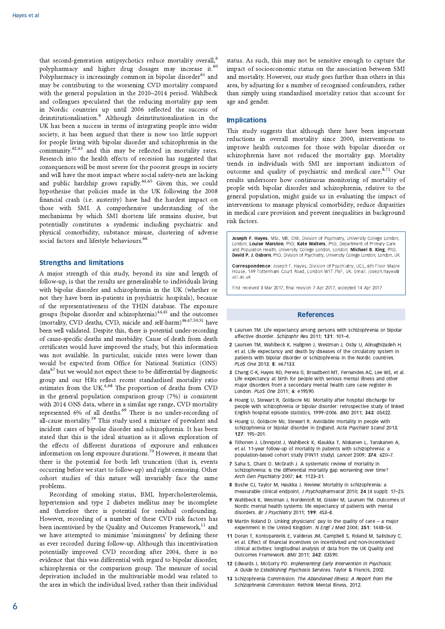that second-generation antipsychotics reduce mortality overall,<sup>6</sup> polypharmacy and higher drug dosages may increase it.<sup>60</sup> Polypharmacy is increasingly common in bipolar disorder<sup>61</sup> and may be contributing to the worsening CVD mortality compared with the general population in the 2010-2014 period. Wahlbeck and colleagues speculated that the reducing mortality gap seen in Nordic countries up until 2006 reflected the success of deinstitutionalisation.<sup>9</sup> Although deinstitutionalisation in the UK has been a success in terms of integrating people into wider society, it has been argued that there is now too little support for people living with bipolar disorder and schizophrenia in the community.<sup>62,63</sup> and this may be reflected in mortality rates. Research into the health effects of recession has suggested that consequences will be most severe for the poorest groups in society and will have the most impact where social safety-nets are lacking and public hardship grows rapidly.<sup>64,65</sup> Given this, we could hypothesise that policies made in the UK following the 2008 financial crash (i.e. austerity) have had the hardest impact on those with SMI. A comprehensive understanding of the mechanisms by which SMI shortens life remains elusive, but potentially constitutes a syndemic including psychiatric and physical comorbidity, substance misuse, clustering of adverse social factors and lifestyle behaviours.<sup>66</sup>

## **Strengths and limitations**

A major strength of this study, beyond its size and length of follow-up, is that the results are generalisable to individuals living with bipolar disorder and schizophrenia in the UK (whether or not they have been in-patients in psychiatric hospitals), because of the representativeness of the THIN database. The exposure groups (bipolar disorder and schizophrenia) $44,45$  and the outcomes (mortality, CVD deaths, CVD, suicide and self-harm)<sup>46,47,50,51</sup> have been well validated. Despite this, there is potential under-recording of cause-specific deaths and morbidity. Cause of death from death certificates would have improved the study, but this information was not available. In particular, suicide rates were lower than would be expected from Office for National Statistics (ONS) data<sup>67</sup> but we would not expect these to be differential by diagnostic group and our HRs reflect recent standardised mortality ratio estimates from the UK.<sup>4,68</sup> The proportion of deaths from CVD in the general population comparison group  $(7%)$  is consistent with 2014 ONS data, where in a similar age range, CVD mortality represented 6% of all deaths.<sup>69</sup> There is no under-recording of all-cause mortality.<sup>39</sup> This study used a mixture of prevalent and incident cases of bipolar disorder and schizophrenia. It has been stated that this is the ideal situation as it allows exploration of the effects of different durations of exposure and enhances information on long exposure durations.<sup>70</sup> However, it means that there is the potential for both left truncation (that is, events occurring before we start to follow-up) and right censoring. Other cohort studies of this nature will invariably face the same problems.

Recording of smoking status, BMI, hypercholesterolemia, hypertension and type 2 diabetes mellitus may be incomplete and therefore there is potential for residual confounding. However, recording of a number of these CVD risk factors has been incentivised by the Quality and Outcomes Framework,<sup>11</sup> and we have attempted to minimise 'missingness' by defining these as ever recorded during follow-up. Although this incentivisation potentially improved CVD recording after 2004, there is no evidence that this was differential with regard to bipolar disorder, schizophrenia or the comparison group. The measure of social deprivation included in the multivariable model was related to the area in which the individual lived, rather than their individual

status. As such, this may not be sensitive enough to capture the impact of socioeconomic status on the association between SMI and mortality. However, our study goes further than others in this area, by adjusting for a number of recognised confounders, rather than simply using standardised mortality ratios that account for age and gender.

## **Implications**

This study suggests that although there have been important reductions in overall mortality since 2000, interventions to improve health outcomes for those with bipolar disorder or schizophrenia have not reduced the mortality gap. Mortality trends in individuals with SMI are important indicators of outcome and quality of psychiatric and medical care.<sup>8,71</sup> Our results underscore how continuous monitoring of mortality of people with bipolar disorder and schizophrenia, relative to the general population, might guide us in evaluating the impact of interventions to manage physical comorbidity, reduce disparities in medical care provision and prevent inequalities in background risk factors.

Joseph F. Hayes, MSc, MB, ChB, Division of Psychiatry, University College London, London: Louise Marston, PhD: Kate Walters, PhD, Department of Primary Care and Population Health, University College London, London; Michael B. King, PhD, David P. J. Osborn, PhD, Division of Psychiatry, University College London, London, UK

Correspondence: Joseph F. Hayes, Division of Psychiatry, UCL, 6th Floor Maple House, 149 Tottenham Court Road, London W1T 7NF, UK. Email: joseph.hayes@ ucliac uk

First received 3 Mar 2017, final revision 7 Apr 2017, accepted 14 Apr 2017

## **References**

- 1 Laursen TM. Life expectancy among persons with schizophrenia or bipolar affective disorder. Schizophr Res 2011: 131: 101-4
- 2 Laursen TM, Wahlbeck K, Hallgren J, Westman J, Osby U, Alinaghizadeh H, et al. Life expectancy and death by diseases of the circulatory system in patients with bipolar disorder or schizophrenia in the Nordic countries. PLoS One 2013; 8: e67133.
- 3 Chang C-K, Hayes RD, Perera G, Broadbent MT, Fernandes AC, Lee WE, et al. Life expectancy at birth for people with serious mental illness and other major disorders from a secondary mental health care case register in London. PLoS One 2011; 6: e19590.
- 4 Hoang U, Stewart R, Goldacre MJ. Mortality after hospital discharge for people with schizophrenia or bipolar disorder: retrospective study of linked English hospital episode statistics, 1999-2006. BMJ 2011; 343: d5422.
- 5 Hoang U, Goldacre MJ, Stewart R. Avoidable mortality in people with schizophrenia or bipolar disorder in England. Acta Psychiatr Scand 2013; 127: 195-201.
- 6 Tiihonen J, Lönnqvist J, Wahlbeck K, Klaukka T, Niskanen L, Tanskanen A, et al. 11-year follow-up of mortality in patients with schizophrenia: a population-based cohort study (FIN11 study). Lancet 2009; 374: 620-7.
- 7 Saha S, Chant D, McGrath J. A systematic review of mortality in schizophrenia: is the differential mortality gap worsening over time? Arch Gen Psychiatry 2007: 64: 1123-31.
- 8 Bushe CJ, Taylor M, Haukka J, Review: Mortality in schizophrenia: a measurable clinical endpoint. J Psychopharmacol 2010: 24 (4 suppl): 17-25
- 9 Wahlbeck K, Westman J, Nordentoft M, Gissler M, Laursen TM, Outcomes of Nordic mental health systems: life expectancy of patients with mental disorders, Br. J. Psychiatry 2011: 199: 453-8
- 10 Martin Roland D. Linking physicians' pay to the quality of care a major experiment in the United Kingdom. N Engl J Med 2004; 351: 1448-54.
- 11 Doran T, Kontopantelis E, Valderas JM, Campbell S, Roland M, Salisbury C, et al. Effect of financial incentives on incentivised and non-incentivised clinical activities: longitudinal analysis of data from the UK Quality and Outcomes Framework. BMJ 2011; 342: d3590.
- 12 Edwards J, McGorry PD. Implementing Early Intervention in Psychosis: A Guide to Establishing Psychosis Services. Taylor & Francis, 2002.
- 13 Schizophrenia Commission. The Abandoned Illness: A Report from the Schizophrenia Commission. Rethink Mental Illness, 2012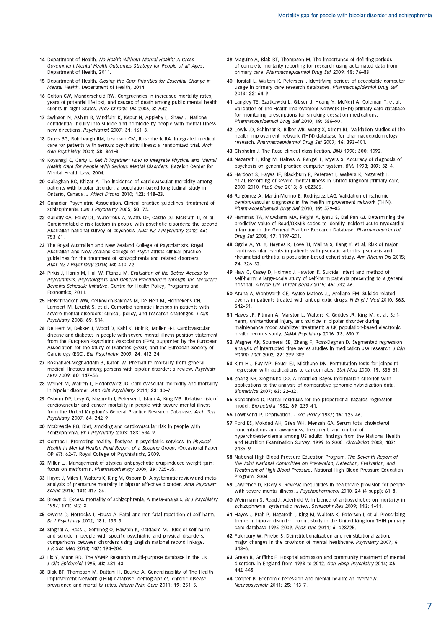- 14 Department of Health, No Health Without Mental Health: A Cross-Government Mental Health Outcomes Strategy for People of all Ages. Department of Health, 2011.
- 15 Department of Health. Closing the Gap: Priorities for Essential Change in Mental Health. Department of Health, 2014.
- 16 Colton CW, Manderscheid RW. Congruencies in increased mortality rates, years of potential life lost, and causes of death among public mental health clients in eight States. Prev Chronic Dis 2006; 3: A42.
- 17 Swinson N, Ashim B, Windfuhr K, Kapur N, Appleby L, Shaw J. National confidential inquiry into suicide and homicide by people with mental illness: new directions. Psychiatrist 2007; 31: 161-3
- 18 Druss BG, Rohrbaugh RM, Levinson CM, Rosenheck RA. Integrated medical care for patients with serious psychiatric illness: a randomized trial. Arch Gen Psychiatry 2001: 58: 861-8.
- 19 Kovanagi C, Carty L, Get it Together: How to Integrate Physical and Mental Health Care for People with Serious Mental Disorders. Bazelon Center for Mental Health Law, 2004.
- 20 Callaghan RC, Khizar A. The incidence of cardiovascular morbidity among patients with bipolar disorder: a population-based longitudinal study in Ontario, Canada, J Affect Disord 2010; 122: 118-23.
- 21 Canadian Psychiatric Association. Clinical practice guidelines: treatment of schizophrenia. Can J Psychiatry 2005; 50: 7S.
- 22 Galletly CA, Foley DL, Waterreus A, Watts GF, Castle DJ, McGrath JJ, et al. Cardiometabolic risk factors in people with psychotic disorders: the second Australian national survey of psychosis. Aust NZ J Psychiatry 2012: 46:  $753 - 61$
- 23 The Royal Australian and New Zealand College of Psychiatrists. Royal Australian and New Zealand College of Psychiatrists clinical practice guidelines for the treatment of schizophrenia and related disorders. Aust NZ J Psychiatry 2016; 50: 410-72
- 24 Pirkis J, Harris M, Hall W, Ftanou M. Evaluation of the Better Access to Psychiatrists, Psychologists and General Practitioners through the Medicare Benefits Schedule Initiative. Centre for Health Policy, Programs and Economics, 2011.
- 25 Fleischhacker WW, Cetkovich-Bakmas M, De Hert M, Hennekens CH, Lambert M, Leucht S, et al. Comorbid somatic illnesses in patients with severe mental disorders: clinical, policy, and research challenges. J Clin Psychiatry 2008: 69: 514.
- 26 De Hert M, Dekker J, Wood D, Kahl K, Holt R, Möller H-J. Cardiovascular disease and diabetes in people with severe mental illness position statement from the European Psychiatric Association (EPA), supported by the European Association for the Study of Diabetes (EASD) and the European Society of Cardiology (ESC). Eur Psychiatry 2009; 24: 412-24.
- 27 Roshanaei-Moghaddam B, Katon W. Premature mortality from general medical illnesses among persons with bipolar disorder: a review. Psychiatr Serv 2009: 60: 147-56
- 28 Weiner M, Warren L, Fiedorowicz JG. Cardiovascular morbidity and mortality in bipolar disorder. Ann Clin Psychiatry 2011: 23: 40-7.
- 29 Osborn DP, Levy G, Nazareth I, Petersen I, Islam A, King MB, Relative risk of cardiovascular and cancer mortality in people with severe mental illness from the United Kingdom's General Practice Research Database. Arch Gen Psychiatry  $2007$ : 64:  $242-9$
- 30 McCreadie RG. Diet, smoking and cardiovascular risk in people with schizophrenia. Br J Psychiatry 2003; 183: 534-9.
- 31 Cormac I. Promoting healthy lifestyles in psychiatric services. In Physical Health in Mental Health. Final Report of a Scoping Group. (Occasional Paper OP 67): 62-7. Royal College of Psychiatrists, 2009.
- 32 Miller LJ. Management of atypical antipsychotic drug-induced weight gain: focus on metformin. Pharmacotherapy 2009; 29: 725-35.
- 33 Hayes J, Miles J, Walters K, King M, Osborn D. A systematic review and metaanalysis of premature mortality in bipolar affective disorder. Acta Psychiatr Scand 2015; 131: 417-25
- 34 Brown S. Excess mortality of schizophrenia. A meta-analysis. Br J Psychiatry 1997: 171: 502-8
- 35 Owens D, Horrocks J, House A. Fatal and non-fatal repetition of self-harm. Br J Psychiatry 2002: 181: 193-9.
- 36 Singhal A, Ross J, Seminog O, Hawton K, Goldacre MJ. Risk of self-harm and suicide in people with specific psychiatric and physical disorders: comparisons between disorders using English national record linkage. J R Soc Med 2014; 107: 194-204.
- 37 Lis Y, Mann RD. The VAMP Research multi-purpose database in the UK. J Clin Epidemiol 1995; 48: 431-43.
- 38 Blak BT, Thompson M, Dattani H, Bourke A. Generalisability of The Health Improvement Network (THIN) database: demographics, chronic disease prevalence and mortality rates. Inform Prim Care 2011; 19: 251-5.
- 39 Maguire A. Blak BT. Thompson M. The importance of defining periods of complete mortality reporting for research using automated data from primary care. Pharmacoepidemiol Drug Saf 2009; 18: 76-83
- 40 Horsfall L, Walters K, Petersen I. Identifying periods of acceptable computer usage in primary care research databases. Pharmacoepidemiol Drug Saf 2013; 22: 64-9
- Langley TE, Szatkowski L, Gibson J, Huang Y, McNeill A, Coleman T, et al. 41 Validation of The Health Improvement Network (THIN) primary care database for monitoring prescriptions for smoking cessation medications. Pharmacoepidemiol Drug Saf 2010; 19: 586-90.
- 42 Lewis JD, Schinnar R, Bilker WB, Wang X, Strom BL. Validation studies of the health improvement network (THIN) database for pharmacoepidemiology research. Pharmacoepidemiol Drug Saf 2007; 16: 393-401
- 43 Chisholm J. The Read clinical classification. BMJ 1990; 300: 1092
- 44 Nazareth I, King M, Haines A, Rangel L, Myers S. Accuracy of diagnosis of psychosis on general practice computer system, BMJ 1993; 307: 32-4.
- 45 Hardoon S, Hayes JF, Blackburn R, Petersen I, Walters K, Nazareth I, et al. Recording of severe mental illness in United Kingdom primary care, 2000-2010, PLoS One 2013; 8: e82365.
- 46 Ruigómez A, Martín-Merino E, Rodríguez LAG. Validation of ischemic cerebrovascular diagnoses in the health improvement network (THIN). Pharmacoepidemiol Drug Saf 2010: 19: 579-85.
- 47 Hammad TA, McAdams MA, Feight A, Iyasu S, Dal Pan GJ. Determining the predictive value of Read/OXMIS codes to identify incident acute myocardial infarction in the General Practice Research Database. Pharmacoepidemiol Drug Saf 2008; 17: 1197-201.
- 48 Ogdie A, Yu Y, Haynes K, Love TJ, Maliha S, Jiang Y, et al. Risk of major cardiovascular events in patients with psoriatic arthritis, psoriasis and rheumatoid arthritis: a population-based cohort study. Ann Rheum Dis 2015; 74: 326-32
- 49 Haw C, Casey D, Holmes J, Hawton K. Suicidal intent and method of self-harm: a large-scale study of self-harm patients presenting to a general hospital. Suicide Life Threat Behav 2015; 45: 732-46.
- 50 Arana A, Wentworth CE, Ayuso-Mateos JL, Arellano FM. Suicide-related events in patients treated with antiepileptic drugs. N Engl J Med 2010; 363:  $542 - 51$
- 51 Hayes JF, Pitman A, Marston L, Walters K, Geddes JR, King M, et al. Selfharm, unintentional injury, and suicide in bipolar disorder during maintenance mood stabilizer treatment: a UK population-based electronic health records study. JAMA Psychiatry 2016; 73: 630-7
- 52 Wagner AK, Soumeral SB, Zhang F, Ross-Degnan D, Segmented regression analysis of interrupted time series studies in medication use research. J Clin Pharm Ther 2002: 27: 299-309
- 53 Kim H-J, Fay MP, Feuer EJ, Midthune DN. Permutation tests for joinpoint regression with applications to cancer rates. Stat Med 2000; 19: 335-51.
- 54 Zhang NR. Siegmund DO. A modified Bayes information criterion with applications to the analysis of comparative genomic hybridization data Biometrics 2007; 63: 22-32.
- 55 Schoenfeld D. Partial residuals for the proportional hazards regression model. Biometrika 1982; 69: 239-41
- 56 Townsend P. Deprivation. J Soc Policy 1987; 16: 125-46.
- 57 Ford ES, Mokdad AH, Giles WH, Mensah GA. Serum total cholesterol concentrations and awareness, treatment, and control of hypercholesterolemia among US adults: findings from the National Health and Nutrition Examination Survey, 1999 to 2000. Circulation 2003; 107:  $2185 - 9$
- 58 National High Blood Pressure Education Program. The Seventh Report of the Joint National Committee on Prevention, Detection, Evaluation, and Treatment of High Blood Pressure. National High Blood Pressure Education Program, 2004.
- 59 Lawrence D, Kisely S. Review: Inequalities in healthcare provision for people with severe mental illness. J Psychopharmacol 2010; 24 (4 suppl): 61-8.
- 60 Weinmann S. Read L. Aderhold V. Influence of antinsychotics on mortality in schizophrenia: systematic review. Schizophr Res 2009; 113: 1-11.
- 61 Hayes J, Prah P, Nazareth I, King M, Walters K, Petersen I, et al. Prescribing trends in bipolar disorder: cohort study in the United Kingdom THIN primary care database 1995-2009. PLoS One 2011; 6: e28725
- 62 Fakhoury W, Priebe S. Deinstitutionalization and reinstitutionalization: major changes in the provision of mental healthcare. Psychiatry 2007; 6:  $313 - 6$
- 63 Green B, Griffiths E. Hospital admission and community treatment of mental disorders in England from 1998 to 2012. Gen Hosp Psychiatry 2014; 36: 442-448
- 64 Cooper B. Economic recession and mental health: an overview Neuropsychiatr 2011; 25: 113-7.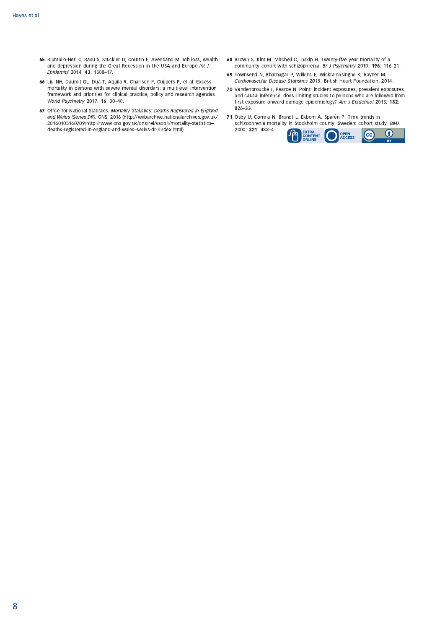- 65 Riumallo-Herl C, Basu S, Stuckler D, Courtin E, Avendano M. Job loss, wealth and depression during the Great Recession in the USA and Europe Int J Epidemiol 2014: 43: 1508-17.
- 66 Liu NH, Daumit GL, Dua T, Aquila R, Charlson F, Cuijpers P, et al. Excess mortality in persons with severe mental disorders: a multilevel intervention framework and priorities for clinical practice, policy and research agendas. World Psychiatry 2017; 16: 30-40.
- 67 Office for National Statistics. Mortality Statistics: Deaths Registered in England and Wales (Series DR). ONS, 2016 (http://webarchive.nationalarchives.gov.uk/ 20160105160709/http://www.ons.gov.uk/ons/rel/vsob1/mortality-statisticsdeaths-registered-in-england-and-wales-series-dr-/index.html).
- 68 Brown S, Kim M, Mitchell C, Inskip H. Twenty-five year mortality of a community cohort with schizophrenia. Br J Psychiatry 2010; 196: 116-21.
- 69 Townsend N, Bhatnagar P, Wilkins E, Wickramasinghe K, Rayner M. Cardiovascular Disease Statistics 2015. British Heart Foundation, 2014.
- 70 Vandenbroucke J, Pearce N. Point: incident exposures, prevalent exposures, and causal inference: does limiting studies to persons who are followed from first exposure onward damage epidemiology? Am J Epidemiol 2015; 182:  $826 - 33.$
- 71 Ösby U, Correia N, Brandt L, Ekbom A, Sparén P. Time trends in schizophrenia mortality in Stockholm county, Sweden: cohort study. BMJ 2000; 321: 483-4. EXTRA<br>CONTENT<br>ONLINE 庙 **OPEN**<br>ACCESS  $\overline{cc}$  $\bf{0}$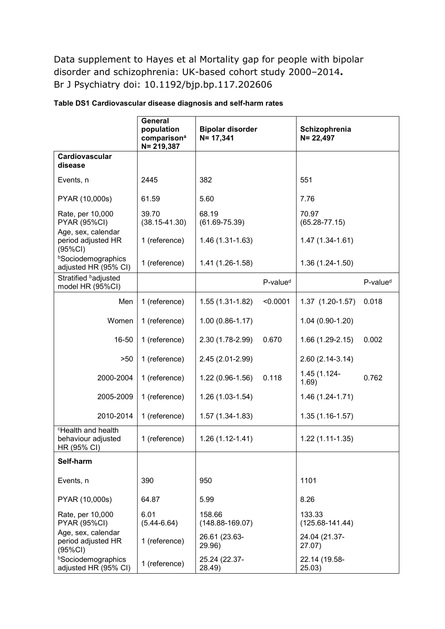Data supplement to Hayes et al Mortality gap for people with bipolar disorder and schizophrenia: UK-based cohort study 2000–2014**.**  Br J Psychiatry doi: 10.1192/bjp.bp.117.202606

|                                                               | General<br>population<br>comparison <sup>a</sup><br>$N = 219,387$ | <b>Bipolar disorder</b><br>$N = 17,341$ |                      | Schizophrenia<br>$N = 22,497$ |                      |
|---------------------------------------------------------------|-------------------------------------------------------------------|-----------------------------------------|----------------------|-------------------------------|----------------------|
| Cardiovascular<br>disease                                     |                                                                   |                                         |                      |                               |                      |
| Events, n                                                     | 2445                                                              | 382                                     |                      | 551                           |                      |
| PYAR (10,000s)                                                | 61.59                                                             | 5.60                                    |                      | 7.76                          |                      |
| Rate, per 10,000<br><b>PYAR (95%CI)</b>                       | 39.70<br>$(38.15 - 41.30)$                                        | 68.19<br>$(61.69 - 75.39)$              |                      | 70.97<br>$(65.28 - 77.15)$    |                      |
| Age, sex, calendar<br>period adjusted HR<br>(95%CI)           | 1 (reference)                                                     | 1.46 (1.31-1.63)                        |                      | 1.47 (1.34-1.61)              |                      |
| <b>bSociodemographics</b><br>adjusted HR (95% CI)             | 1 (reference)                                                     | 1.41 (1.26-1.58)                        |                      | 1.36 (1.24-1.50)              |                      |
| Stratified badjusted<br>model HR (95%CI)                      |                                                                   |                                         | P-value <sup>d</sup> |                               | P-value <sup>d</sup> |
| Men                                                           | 1 (reference)                                                     | $1.55(1.31-1.82)$                       | < 0.0001             | 1.37 (1.20-1.57)              | 0.018                |
| Women                                                         | 1 (reference)                                                     | $1.00(0.86 - 1.17)$                     |                      | 1.04 (0.90-1.20)              |                      |
| 16-50                                                         | 1 (reference)                                                     | 2.30 (1.78-2.99)                        | 0.670                | 1.66 (1.29-2.15)              | 0.002                |
| >50                                                           | 1 (reference)                                                     | 2.45 (2.01-2.99)                        |                      | 2.60 (2.14-3.14)              |                      |
| 2000-2004                                                     | 1 (reference)                                                     | 1.22 (0.96-1.56)                        | 0.118                | 1.45 (1.124-<br>1.69)         | 0.762                |
| 2005-2009                                                     | 1 (reference)                                                     | 1.26 (1.03-1.54)                        |                      | 1.46 (1.24-1.71)              |                      |
| 2010-2014                                                     | 1 (reference)                                                     | 1.57 (1.34-1.83)                        |                      | 1.35 (1.16-1.57)              |                      |
| <b>Health and health</b><br>behaviour adjusted<br>HR (95% CI) | 1 (reference)                                                     | 1.26 (1.12-1.41)                        |                      | 1.22 (1.11-1.35)              |                      |
| Self-harm                                                     |                                                                   |                                         |                      |                               |                      |
| Events, n                                                     | 390                                                               | 950                                     |                      | 1101                          |                      |
| PYAR (10,000s)                                                | 64.87                                                             | 5.99                                    |                      | 8.26                          |                      |
| Rate, per 10,000<br><b>PYAR (95%CI)</b>                       | 6.01<br>$(5.44 - 6.64)$                                           | 158.66<br>$(148.88 - 169.07)$           |                      | 133.33<br>$(125.68 - 141.44)$ |                      |
| Age, sex, calendar<br>period adjusted HR<br>(95%CI)           | 1 (reference)                                                     | 26.61 (23.63-<br>29.96)                 |                      | 24.04 (21.37-<br>27.07)       |                      |
| <b>bSociodemographics</b><br>adjusted HR (95% CI)             | 1 (reference)                                                     | 25.24 (22.37-<br>28.49)                 |                      | 22.14 (19.58-<br>25.03)       |                      |

## **Table DS1 Cardiovascular disease diagnosis and self-harm rates**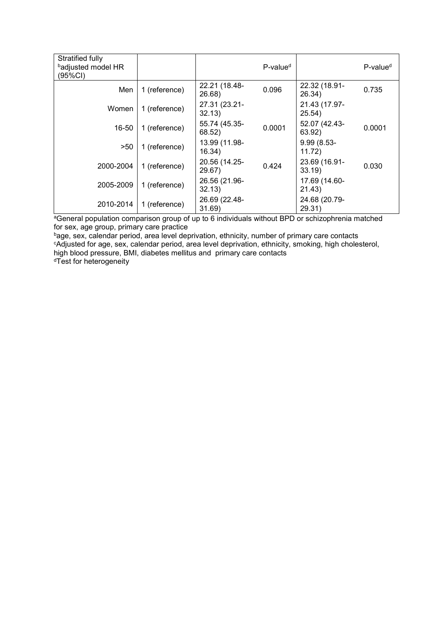| Stratified fully<br>badjusted model HR<br>(95%CI) |               |                         | P-value <sup>d</sup> |                         | P-value <sup>d</sup> |
|---------------------------------------------------|---------------|-------------------------|----------------------|-------------------------|----------------------|
| Men                                               | 1 (reference) | 22.21 (18.48-<br>26.68) | 0.096                | 22.32 (18.91-<br>26.34) | 0.735                |
| Women                                             | 1 (reference) | 27.31 (23.21-<br>32.13) |                      | 21.43 (17.97-<br>25.54) |                      |
| 16-50                                             | 1 (reference) | 55.74 (45.35-<br>68.52) | 0.0001               | 52.07 (42.43-<br>63.92) | 0.0001               |
| >50                                               | 1 (reference) | 13.99 (11.98-<br>16.34) |                      | 9.99 (8.53-<br>11.72)   |                      |
| 2000-2004                                         | 1 (reference) | 20.56 (14.25-<br>29.67) | 0.424                | 23.69 (16.91-<br>33.19) | 0.030                |
| 2005-2009                                         | 1 (reference) | 26.56 (21.96-<br>32.13) |                      | 17.69 (14.60-<br>21.43) |                      |
| 2010-2014                                         | 1 (reference) | 26.69 (22.48-<br>31.69) |                      | 24.68 (20.79-<br>29.31) |                      |

aGeneral population comparison group of up to 6 individuals without BPD or schizophrenia matched for sex, age group, primary care practice

<sup>b</sup>age, sex, calendar period, area level deprivation, ethnicity, number of primary care contacts cAdjusted for age, sex, calendar period, area level deprivation, ethnicity, smoking, high cholesterol, high blood pressure, BMI, diabetes mellitus and primary care contacts dTest for heterogeneity